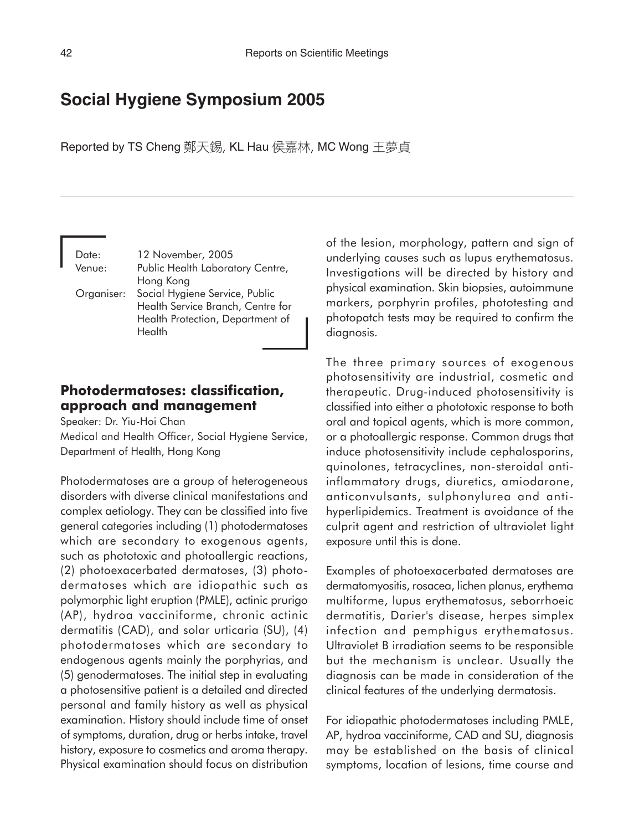# **Social Hygiene Symposium 2005**

Reported by TS Cheng 鄭天錫, KL Hau 侯嘉林, MC Wong 王夢貞

Date: 12 November, 2005 Venue: Public Health Laboratory Centre, Hong Kong Organiser: Social Hygiene Service, Public Health Service Branch, Centre for Health Protection, Department of **Health** 

### **Photodermatoses: classification, approach and management**

Speaker: Dr. Yiu-Hoi Chan

Medical and Health Officer, Social Hygiene Service, Department of Health, Hong Kong

Photodermatoses are a group of heterogeneous disorders with diverse clinical manifestations and complex aetiology. They can be classified into five general categories including (1) photodermatoses which are secondary to exogenous agents, such as phototoxic and photoallergic reactions, (2) photoexacerbated dermatoses, (3) photodermatoses which are idiopathic such as polymorphic light eruption (PMLE), actinic prurigo (AP), hydroa vacciniforme, chronic actinic dermatitis (CAD), and solar urticaria (SU), (4) photodermatoses which are secondary to endogenous agents mainly the porphyrias, and (5) genodermatoses. The initial step in evaluating a photosensitive patient is a detailed and directed personal and family history as well as physical examination. History should include time of onset of symptoms, duration, drug or herbs intake, travel history, exposure to cosmetics and aroma therapy. Physical examination should focus on distribution

of the lesion, morphology, pattern and sign of underlying causes such as lupus erythematosus. Investigations will be directed by history and physical examination. Skin biopsies, autoimmune markers, porphyrin profiles, phototesting and photopatch tests may be required to confirm the diagnosis.

The three primary sources of exogenous photosensitivity are industrial, cosmetic and therapeutic. Drug-induced photosensitivity is classified into either a phototoxic response to both oral and topical agents, which is more common, or a photoallergic response. Common drugs that induce photosensitivity include cephalosporins, quinolones, tetracyclines, non-steroidal antiinflammatory drugs, diuretics, amiodarone, anticonvulsants, sulphonylurea and antihyperlipidemics. Treatment is avoidance of the culprit agent and restriction of ultraviolet light exposure until this is done.

Examples of photoexacerbated dermatoses are dermatomyositis, rosacea, lichen planus, erythema multiforme, lupus erythematosus, seborrhoeic dermatitis, Darier's disease, herpes simplex infection and pemphigus erythematosus. Ultraviolet B irradiation seems to be responsible but the mechanism is unclear. Usually the diagnosis can be made in consideration of the clinical features of the underlying dermatosis.

For idiopathic photodermatoses including PMLE, AP, hydroa vacciniforme, CAD and SU, diagnosis may be established on the basis of clinical symptoms, location of lesions, time course and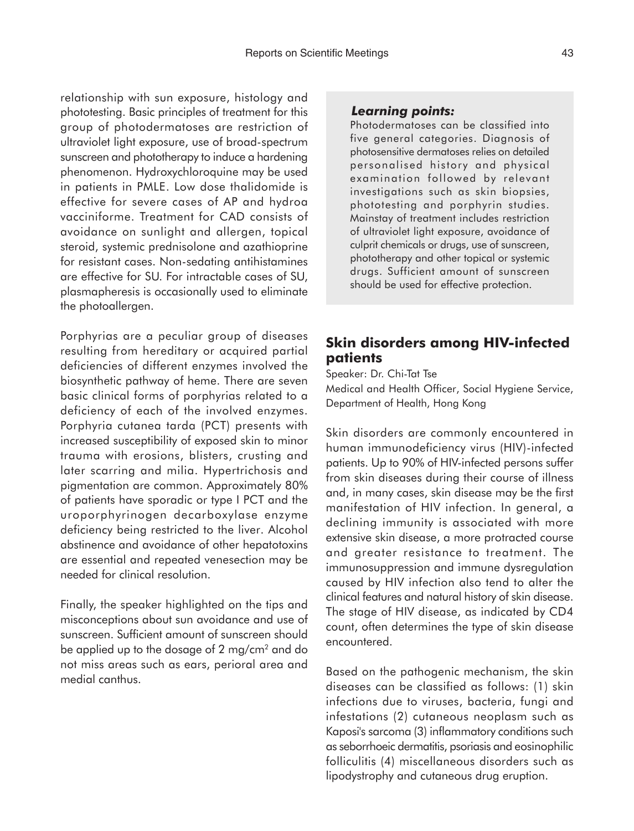relationship with sun exposure, histology and phototesting. Basic principles of treatment for this group of photodermatoses are restriction of ultraviolet light exposure, use of broad-spectrum sunscreen and phototherapy to induce a hardening phenomenon. Hydroxychloroquine may be used in patients in PMLE. Low dose thalidomide is effective for severe cases of AP and hydroa vacciniforme. Treatment for CAD consists of avoidance on sunlight and allergen, topical steroid, systemic prednisolone and azathioprine for resistant cases. Non-sedating antihistamines are effective for SU. For intractable cases of SU, plasmapheresis is occasionally used to eliminate the photoallergen.

Porphyrias are a peculiar group of diseases resulting from hereditary or acquired partial deficiencies of different enzymes involved the biosynthetic pathway of heme. There are seven basic clinical forms of porphyrias related to a deficiency of each of the involved enzymes. Porphyria cutanea tarda (PCT) presents with increased susceptibility of exposed skin to minor trauma with erosions, blisters, crusting and later scarring and milia. Hypertrichosis and pigmentation are common. Approximately 80% of patients have sporadic or type I PCT and the uroporphyrinogen decarboxylase enzyme deficiency being restricted to the liver. Alcohol abstinence and avoidance of other hepatotoxins are essential and repeated venesection may be needed for clinical resolution.

Finally, the speaker highlighted on the tips and misconceptions about sun avoidance and use of sunscreen. Sufficient amount of sunscreen should be applied up to the dosage of 2 mg/cm2 and do not miss areas such as ears, perioral area and medial canthus.

#### *Learning points:*

Photodermatoses can be classified into five general categories. Diagnosis of photosensitive dermatoses relies on detailed personalised history and physical examination followed by relevant investigations such as skin biopsies, phototesting and porphyrin studies. Mainstay of treatment includes restriction of ultraviolet light exposure, avoidance of culprit chemicals or drugs, use of sunscreen, phototherapy and other topical or systemic drugs. Sufficient amount of sunscreen should be used for effective protection.

## **Skin disorders among HIV-infected patients**

Speaker: Dr. Chi-Tat Tse Medical and Health Officer, Social Hygiene Service, Department of Health, Hong Kong

Skin disorders are commonly encountered in human immunodeficiency virus (HIV)-infected patients. Up to 90% of HIV-infected persons suffer from skin diseases during their course of illness and, in many cases, skin disease may be the first manifestation of HIV infection. In general, a declining immunity is associated with more extensive skin disease, a more protracted course and greater resistance to treatment. The immunosuppression and immune dysregulation caused by HIV infection also tend to alter the clinical features and natural history of skin disease. The stage of HIV disease, as indicated by CD4 count, often determines the type of skin disease encountered.

Based on the pathogenic mechanism, the skin diseases can be classified as follows: (1) skin infections due to viruses, bacteria, fungi and infestations (2) cutaneous neoplasm such as Kaposi's sarcoma (3) inflammatory conditions such as seborrhoeic dermatitis, psoriasis and eosinophilic folliculitis (4) miscellaneous disorders such as lipodystrophy and cutaneous drug eruption.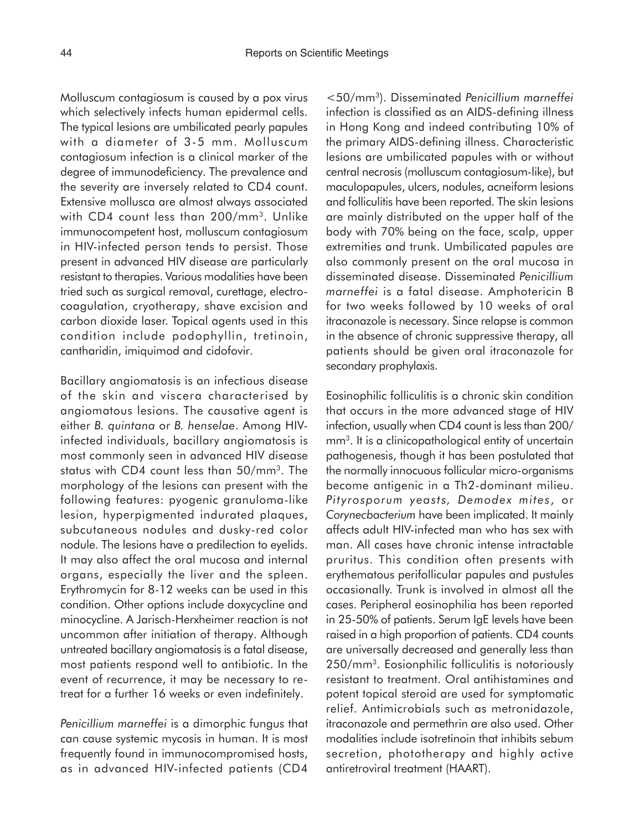Molluscum contagiosum is caused by a pox virus which selectively infects human epidermal cells. The typical lesions are umbilicated pearly papules with a diameter of 3-5 mm. Molluscum contagiosum infection is a clinical marker of the degree of immunodeficiency. The prevalence and the severity are inversely related to CD4 count. Extensive mollusca are almost always associated with CD4 count less than 200/mm<sup>3</sup>. Unlike immunocompetent host, molluscum contagiosum in HIV-infected person tends to persist. Those present in advanced HIV disease are particularly resistant to therapies. Various modalities have been tried such as surgical removal, curettage, electrocoagulation, cryotherapy, shave excision and carbon dioxide laser. Topical agents used in this condition include podophyllin, tretinoin, cantharidin, imiquimod and cidofovir.

Bacillary angiomatosis is an infectious disease of the skin and viscera characterised by angiomatous lesions. The causative agent is either *B. quintana* or *B. henselae*. Among HIVinfected individuals, bacillary angiomatosis is most commonly seen in advanced HIV disease status with CD4 count less than 50/mm<sup>3</sup>. The morphology of the lesions can present with the following features: pyogenic granuloma-like lesion, hyperpigmented indurated plaques, subcutaneous nodules and dusky-red color nodule. The lesions have a predilection to eyelids. It may also affect the oral mucosa and internal organs, especially the liver and the spleen. Erythromycin for 8-12 weeks can be used in this condition. Other options include doxycycline and minocycline. A Jarisch-Herxheimer reaction is not uncommon after initiation of therapy. Although untreated bacillary angiomatosis is a fatal disease, most patients respond well to antibiotic. In the event of recurrence, it may be necessary to retreat for a further 16 weeks or even indefinitely.

*Penicillium marneffei* is a dimorphic fungus that can cause systemic mycosis in human. It is most frequently found in immunocompromised hosts, as in advanced HIV-infected patients (CD4

<50/mm3). Disseminated *Penicillium marneffei* infection is classified as an AIDS-defining illness in Hong Kong and indeed contributing 10% of the primary AIDS-defining illness. Characteristic lesions are umbilicated papules with or without central necrosis (molluscum contagiosum-like), but maculopapules, ulcers, nodules, acneiform lesions and folliculitis have been reported. The skin lesions are mainly distributed on the upper half of the body with 70% being on the face, scalp, upper extremities and trunk. Umbilicated papules are also commonly present on the oral mucosa in disseminated disease. Disseminated *Penicillium marneffei* is a fatal disease. Amphotericin B for two weeks followed by 10 weeks of oral itraconazole is necessary. Since relapse is common in the absence of chronic suppressive therapy, all patients should be given oral itraconazole for secondary prophylaxis.

Eosinophilic folliculitis is a chronic skin condition that occurs in the more advanced stage of HIV infection, usually when CD4 count is less than 200/ mm3. It is a clinicopathological entity of uncertain pathogenesis, though it has been postulated that the normally innocuous follicular micro-organisms become antigenic in a Th2-dominant milieu. *Pityrosporum yeasts, Demodex mites*, or *Corynecbacterium* have been implicated. It mainly affects adult HIV-infected man who has sex with man. All cases have chronic intense intractable pruritus. This condition often presents with erythematous perifollicular papules and pustules occasionally. Trunk is involved in almost all the cases. Peripheral eosinophilia has been reported in 25-50% of patients. Serum IgE levels have been raised in a high proportion of patients. CD4 counts are universally decreased and generally less than 250/mm3. Eosionphilic folliculitis is notoriously resistant to treatment. Oral antihistamines and potent topical steroid are used for symptomatic relief. Antimicrobials such as metronidazole, itraconazole and permethrin are also used. Other modalities include isotretinoin that inhibits sebum secretion, phototherapy and highly active antiretroviral treatment (HAART).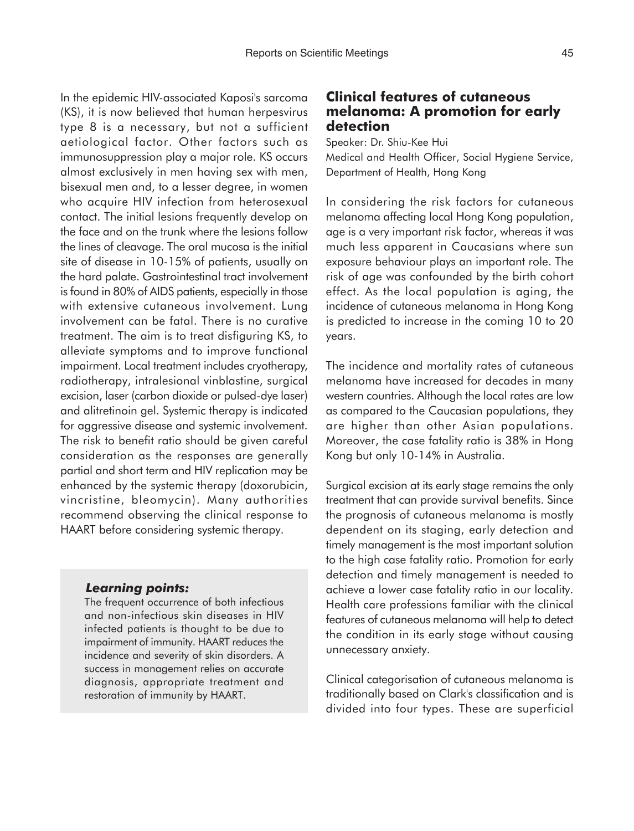In the epidemic HIV-associated Kaposi's sarcoma (KS), it is now believed that human herpesvirus type 8 is a necessary, but not a sufficient aetiological factor. Other factors such as immunosuppression play a major role. KS occurs almost exclusively in men having sex with men, bisexual men and, to a lesser degree, in women who acquire HIV infection from heterosexual contact. The initial lesions frequently develop on the face and on the trunk where the lesions follow the lines of cleavage. The oral mucosa is the initial site of disease in 10-15% of patients, usually on the hard palate. Gastrointestinal tract involvement is found in 80% of AIDS patients, especially in those with extensive cutaneous involvement. Lung involvement can be fatal. There is no curative treatment. The aim is to treat disfiguring KS, to alleviate symptoms and to improve functional impairment. Local treatment includes cryotherapy, radiotherapy, intralesional vinblastine, surgical excision, laser (carbon dioxide or pulsed-dye laser) and alitretinoin gel. Systemic therapy is indicated for aggressive disease and systemic involvement. The risk to benefit ratio should be given careful consideration as the responses are generally partial and short term and HIV replication may be enhanced by the systemic therapy (doxorubicin, vincristine, bleomycin). Many authorities recommend observing the clinical response to HAART before considering systemic therapy.

#### *Learning points:*

The frequent occurrence of both infectious and non-infectious skin diseases in HIV infected patients is thought to be due to impairment of immunity. HAART reduces the incidence and severity of skin disorders. A success in management relies on accurate diagnosis, appropriate treatment and restoration of immunity by HAART.

## **Clinical features of cutaneous melanoma: A promotion for early detection**

Speaker: Dr. Shiu-Kee Hui Medical and Health Officer, Social Hygiene Service, Department of Health, Hong Kong

In considering the risk factors for cutaneous melanoma affecting local Hong Kong population, age is a very important risk factor, whereas it was much less apparent in Caucasians where sun exposure behaviour plays an important role. The risk of age was confounded by the birth cohort effect. As the local population is aging, the incidence of cutaneous melanoma in Hong Kong is predicted to increase in the coming 10 to 20 years.

The incidence and mortality rates of cutaneous melanoma have increased for decades in many western countries. Although the local rates are low as compared to the Caucasian populations, they are higher than other Asian populations. Moreover, the case fatality ratio is 38% in Hong Kong but only 10-14% in Australia.

Surgical excision at its early stage remains the only treatment that can provide survival benefits. Since the prognosis of cutaneous melanoma is mostly dependent on its staging, early detection and timely management is the most important solution to the high case fatality ratio. Promotion for early detection and timely management is needed to achieve a lower case fatality ratio in our locality. Health care professions familiar with the clinical features of cutaneous melanoma will help to detect the condition in its early stage without causing unnecessary anxiety.

Clinical categorisation of cutaneous melanoma is traditionally based on Clark's classification and is divided into four types. These are superficial